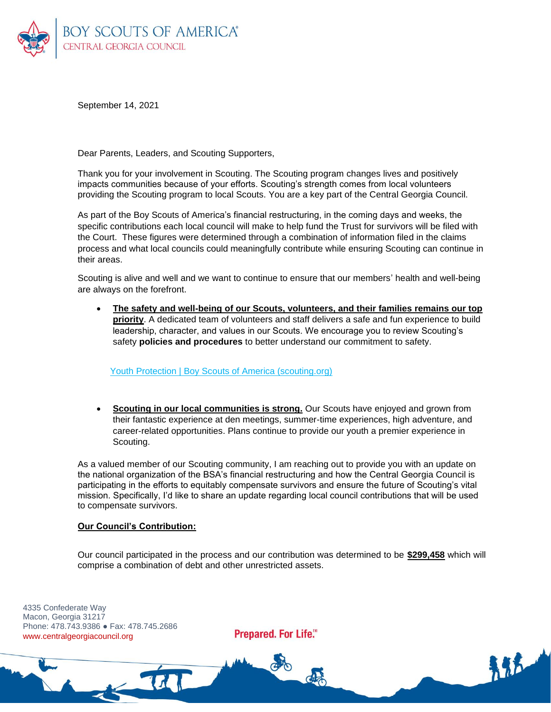

September 14, 2021

Dear Parents, Leaders, and Scouting Supporters,

Thank you for your involvement in Scouting. The Scouting program changes lives and positively impacts communities because of your efforts. Scouting's strength comes from local volunteers providing the Scouting program to local Scouts. You are a key part of the Central Georgia Council.

As part of the Boy Scouts of America's financial restructuring, in the coming days and weeks, the specific contributions each local council will make to help fund the Trust for survivors will be filed with the Court. These figures were determined through a combination of information filed in the claims process and what local councils could meaningfully contribute while ensuring Scouting can continue in their areas.

Scouting is alive and well and we want to continue to ensure that our members' health and well-being are always on the forefront.

• **The safety and well-being of our Scouts, volunteers, and their families remains our top priority**. A dedicated team of volunteers and staff delivers a safe and fun experience to build leadership, character, and values in our Scouts. We encourage you to review Scouting's safety **policies and procedures** to better understand our commitment to safety.

Youth Protection | Boy Scouts of America (scouting.org)

**Scouting in our local communities is strong.** Our Scouts have enjoyed and grown from their fantastic experience at den meetings, summer-time experiences, high adventure, and career-related opportunities. Plans continue to provide our youth a premier experience in Scouting.

As a valued member of our Scouting community, I am reaching out to provide you with an update on the national organization of the BSA's financial restructuring and how the Central Georgia Council is participating in the efforts to equitably compensate survivors and ensure the future of Scouting's vital mission. Specifically, I'd like to share an update regarding local council contributions that will be used to compensate survivors.

## **Our Council's Contribution:**

 $-14$ 

Our council participated in the process and our contribution was determined to be **\$299,458** which will comprise a combination of debt and other unrestricted assets.

4335 Confederate Way Macon, Georgia 31217 Phone: 478.743.9386 ● Fax: 478.745.2686 www.centralgeorgiacouncil.org

Prepared. For Life.™

COND

**ARE**